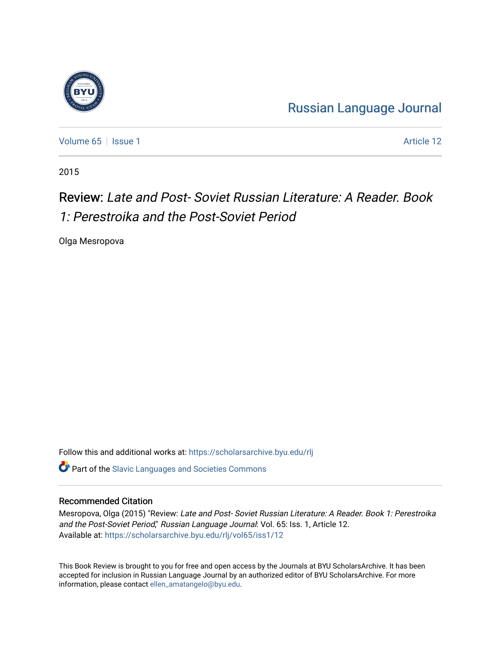

[Russian Language Journal](https://scholarsarchive.byu.edu/rlj) 

[Volume 65](https://scholarsarchive.byu.edu/rlj/vol65) | [Issue 1](https://scholarsarchive.byu.edu/rlj/vol65/iss1) Article 12

2015

## Review: Late and Post- Soviet Russian Literature: A Reader. Book 1: Perestroika and the Post-Soviet Period

Olga Mesropova

Follow this and additional works at: [https://scholarsarchive.byu.edu/rlj](https://scholarsarchive.byu.edu/rlj?utm_source=scholarsarchive.byu.edu%2Frlj%2Fvol65%2Fiss1%2F12&utm_medium=PDF&utm_campaign=PDFCoverPages)

**C** Part of the Slavic Languages and Societies Commons

## Recommended Citation

Mesropova, Olga (2015) "Review: Late and Post- Soviet Russian Literature: A Reader. Book 1: Perestroika and the Post-Soviet Period," Russian Language Journal: Vol. 65: Iss. 1, Article 12. Available at: [https://scholarsarchive.byu.edu/rlj/vol65/iss1/12](https://scholarsarchive.byu.edu/rlj/vol65/iss1/12?utm_source=scholarsarchive.byu.edu%2Frlj%2Fvol65%2Fiss1%2F12&utm_medium=PDF&utm_campaign=PDFCoverPages)

This Book Review is brought to you for free and open access by the Journals at BYU ScholarsArchive. It has been accepted for inclusion in Russian Language Journal by an authorized editor of BYU ScholarsArchive. For more information, please contact [ellen\\_amatangelo@byu.edu.](mailto:ellen_amatangelo@byu.edu)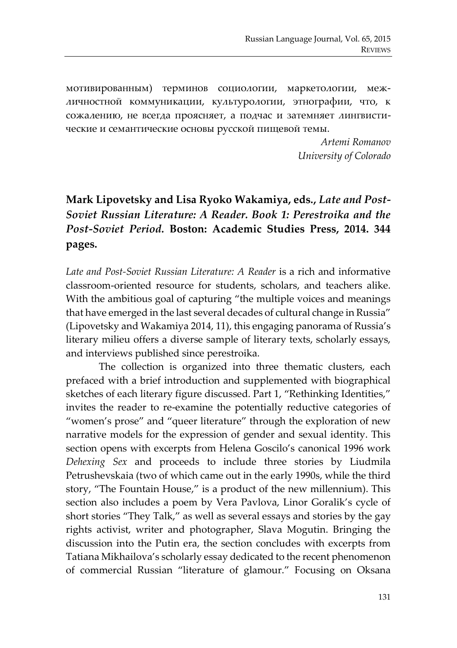мотивированным) терминов социологии, маркетологии, межличностной коммуникации, культурологии, этнографии, что, к сожалению, не всегда проясняет, а подчас и затемняет лингвистические и семантические основы русской пищевой темы.

> *Artemi Romanov University of Colorado*

## **Mark Lipovetsky and Lisa Ryoko Wakamiya, eds.,** *Late and Post-Soviet Russian Literature: A Reader. Book 1: Perestroika and the Post-Soviet Period.* **Boston: Academic Studies Press, 2014. 344 pages.**

*Late and Post-Soviet Russian Literature: A Reader* is a rich and informative classroom-oriented resource for students, scholars, and teachers alike. With the ambitious goal of capturing "the multiple voices and meanings that have emerged in the last several decades of cultural change in Russia" (Lipovetsky and Wakamiya 2014, 11), this engaging panorama of Russia's literary milieu offers a diverse sample of literary texts, scholarly essays, and interviews published since perestroika.

The collection is organized into three thematic clusters, each prefaced with a brief introduction and supplemented with biographical sketches of each literary figure discussed. Part 1, "Rethinking Identities," invites the reader to re-examine the potentially reductive categories of "women's prose" and "queer literature" through the exploration of new narrative models for the expression of gender and sexual identity. This section opens with excerpts from Helena Goscilo's canonical 1996 work *Dehexing Sex* and proceeds to include three stories by Liudmila Petrushevskaia (two of which came out in the early 1990s, while the third story, "The Fountain House," is a product of the new millennium). This section also includes a poem by Vera Pavlova, Linor Goralik's cycle of short stories "They Talk," as well as several essays and stories by the gay rights activist, writer and photographer, Slava Mogutin. Bringing the discussion into the Putin era, the section concludes with excerpts from Tatiana Mikhailova's scholarly essay dedicated to the recent phenomenon of commercial Russian "literature of glamour." Focusing on Oksana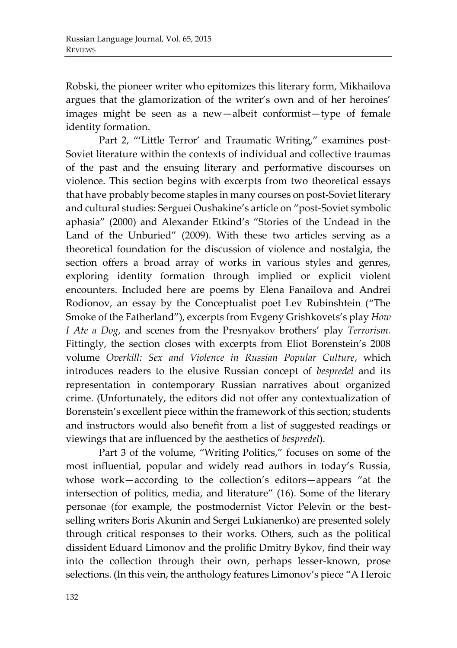Robski, the pioneer writer who epitomizes this literary form, Mikhailova argues that the glamorization of the writer's own and of her heroines' images might be seen as a new—albeit conformist—type of female identity formation.

Part 2, "'Little Terror' and Traumatic Writing," examines post-Soviet literature within the contexts of individual and collective traumas of the past and the ensuing literary and performative discourses on violence. This section begins with excerpts from two theoretical essays that have probably become staples in many courses on post-Soviet literary and cultural studies: Serguei Oushakine's article on "post-Soviet symbolic aphasia" (2000) and Alexander Etkind's "Stories of the Undead in the Land of the Unburied" (2009). With these two articles serving as a theoretical foundation for the discussion of violence and nostalgia, the section offers a broad array of works in various styles and genres, exploring identity formation through implied or explicit violent encounters. Included here are poems by Elena Fanailova and Andrei Rodionov, an essay by the Conceptualist poet Lev Rubinshtein ("The Smoke of the Fatherland"), excerpts from Evgeny Grishkovets's play *How I Ate a Dog*, and scenes from the Presnyakov brothers' play *Terrorism.* Fittingly, the section closes with excerpts from Eliot Borenstein's 2008 volume *Overkill: Sex and Violence in Russian Popular Culture*, which introduces readers to the elusive Russian concept of *bespredel* and its representation in contemporary Russian narratives about organized crime. (Unfortunately, the editors did not offer any contextualization of Borenstein's excellent piece within the framework of this section; students and instructors would also benefit from a list of suggested readings or viewings that are influenced by the aesthetics of *bespredel*).

Part 3 of the volume, "Writing Politics," focuses on some of the most influential, popular and widely read authors in today's Russia, whose work—according to the collection's editors—appears "at the intersection of politics, media, and literature" (16). Some of the literary personae (for example, the postmodernist Victor Pelevin or the bestselling writers Boris Akunin and Sergei Lukianenko) are presented solely through critical responses to their works. Others, such as the political dissident Eduard Limonov and the prolific Dmitry Bykov, find their way into the collection through their own, perhaps lesser-known, prose selections. (In this vein, the anthology features Limonov's piece "A Heroic